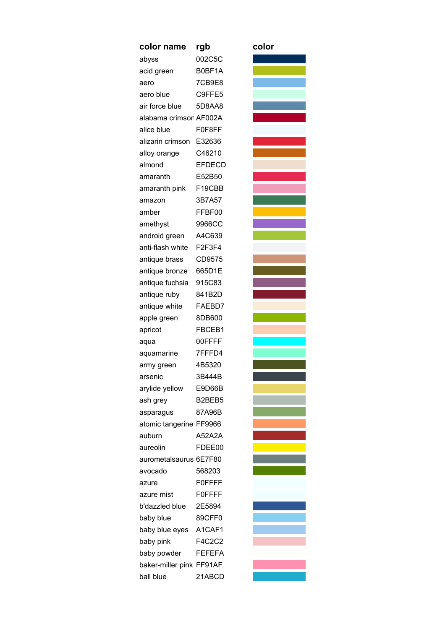| color name               | rgb           | color |
|--------------------------|---------------|-------|
| abyss                    | 002C5C        |       |
| acid green               | B0BF1A        |       |
| aero                     | 7CB9E8        |       |
| aero blue                | C9FFE5        |       |
| air force blue           | 5D8AA8        |       |
| alabama crimson AF002A   |               |       |
| alice blue               | F0F8FF        |       |
| alizarin crimson E32636  |               |       |
| alloy orange             | C46210        |       |
| almond                   | <b>EFDECD</b> |       |
| amaranth                 | E52B50        |       |
| amaranth pink            | F19CBB        |       |
| amazon                   | 3B7A57        |       |
| amber                    | FFBF00        |       |
| amethyst                 | 9966CC        |       |
| android green            | A4C639        |       |
| anti-flash white         | F2F3F4        |       |
| antique brass            | CD9575        |       |
| antique bronze           | 665D1E        |       |
| antique fuchsia          | 915C83        |       |
| antique ruby             | 841B2D        |       |
| antique white            | FAEBD7        |       |
| apple green              | 8DB600        |       |
| apricot                  | FBCEB1        |       |
| aqua                     | 00FFFF        |       |
| aquamarine               | 7FFFD4        |       |
| army green               | 4B5320        |       |
| arsenic                  | 3B444B        |       |
| arylide yellow           | E9D66B        |       |
| ash grey                 | B2BEB5        |       |
| asparagus                | 87A96B        |       |
| atomic tangerine FF9966  |               |       |
| auburn                   | A52A2A        |       |
| aureolin                 | FDEE00        |       |
| aurometalsaurus 6E7F80   |               |       |
| avocado                  | 568203        |       |
| azure                    | <b>FOFFFF</b> |       |
| azure mist               | <b>FOFFFF</b> |       |
| b'dazzled blue           | 2E5894        |       |
| baby blue                | 89CFF0        |       |
| baby blue eyes           | A1CAF1        |       |
| baby pink                | F4C2C2        |       |
| baby powder              | <b>FEFEFA</b> |       |
| baker-miller pink FF91AF |               |       |
| ball blue                | 21ABCD        |       |

| color |
|-------|
|       |
|       |
|       |
|       |
|       |
|       |
|       |
|       |
|       |
|       |
|       |
|       |
|       |
|       |
|       |
|       |
|       |
|       |
|       |
|       |
|       |
|       |
|       |
|       |
|       |
|       |
|       |
|       |
|       |
|       |
|       |
|       |
|       |
|       |
|       |
|       |
|       |
|       |
|       |
|       |
|       |
|       |
|       |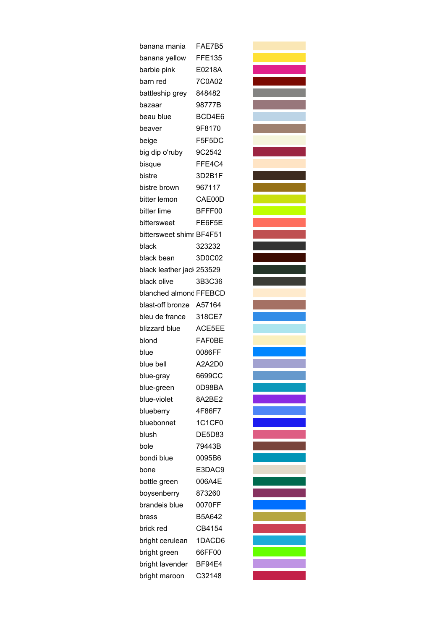| banana mania              | FAE7B5        |
|---------------------------|---------------|
| banana yellow             | <b>FFE135</b> |
| barbie pink               | E0218A        |
| barn red                  | 7C0A02        |
| battleship grey           | 848482        |
| bazaar                    | 98777B        |
| beau blue                 | BCD4E6        |
| beaver                    | 9F8170        |
| beige                     | F5F5DC        |
| big dip o'ruby            | 9C2542        |
| bisque                    | FFE4C4        |
| bistre                    | 3D2B1F        |
| bistre brown              | 967117        |
| bitter lemon              | CAE00D        |
| bitter lime               | BFFF00        |
| bittersweet               | FE6F5E        |
| bittersweet shimr BF4F51  |               |
| black                     | 323232        |
| black bean                | 3D0C02        |
| black leather jacl 253529 |               |
| black olive               | 3B3C36        |
| blanched almond FFEBCD    |               |
| blast-off bronze A57164   |               |
| bleu de france            | 318CE7        |
| blizzard blue             | ACE5EE        |
| blond                     | <b>FAF0BE</b> |
| blue                      | 0086FF        |
| blue bell                 | A2A2D0        |
| blue-gray                 | 669900        |
| blue-green                | 0D98BA        |
| blue-violet               | 8A2BE2        |
| blueberry                 | 4F86F7        |
| bluebonnet                | 1C1CF0        |
| blush                     | <b>DE5D83</b> |
| bole                      | 79443B        |
| bondi blue                | 0095B6        |
| bone                      | E3DAC9        |
| bottle green              | 006A4E        |
| boysenberry               | 873260        |
| brandeis blue             | 0070FF        |
| brass                     | B5A642        |
| brick red                 | CB4154        |
| bright cerulean           | 1DACD6        |
| bright green              | 66FF00        |
| bright lavender           | BF94E4        |
| bright maroon             | C32148        |
|                           |               |

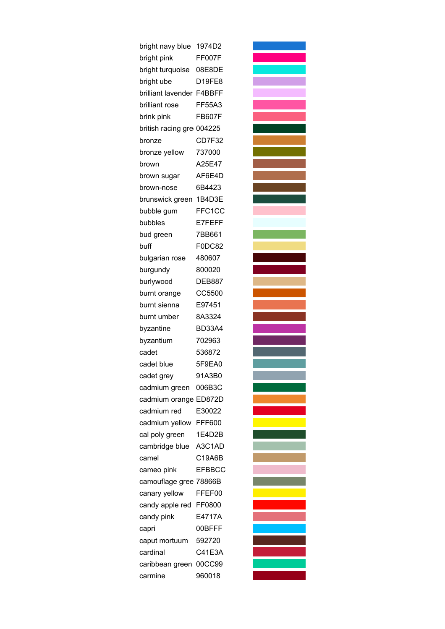| bright navy blue          | 1974D2        |
|---------------------------|---------------|
| bright pink               | FF007F        |
| bright turquoise          | 08E8DE        |
| bright ube                | <b>D19FE8</b> |
| brilliant lavender F4BBFF |               |
| brilliant rose            | FF55A3        |
| brink pink                | <b>FB607F</b> |
| british racing gre 004225 |               |
| bronze                    | CD7F32        |
| bronze yellow             | 737000        |
| brown                     | A25E47        |
| brown sugar               | AF6E4D        |
| brown-nose                | 6B4423        |
| brunswick green           | 1B4D3E        |
| bubble gum                | FFC1CC        |
| bubbles                   | E7FEFF        |
| bud green                 | 7BB661        |
| buff                      | F0DC82        |
| bulgarian rose            | 480607        |
| burgundy                  | 800020        |
| burlywood                 | <b>DEB887</b> |
| burnt orange              | CC5500        |
| burnt sienna              | E97451        |
| burnt umber               | 8A3324        |
| byzantine                 | <b>BD33A4</b> |
| byzantium                 | 702963        |
| cadet                     | 536872        |
| cadet blue                | 5F9EA0        |
| cadet grey                | 91A3B0        |
| cadmium green             | 006B3C        |
| cadmium orange ED872D     |               |
| cadmium red               | E30022        |
| cadmium yellow            | FFF600        |
| cal poly green            | 1E4D2B        |
| cambridge blue            | A3C1AD        |
| camel                     | C19A6B        |
| cameo pink                | <b>EFBBCC</b> |
| camouflage gree 78866B    |               |
| canary yellow             | FFEF00        |
| candy apple red           | FF0800        |
| candy pink                | E4717A        |
| capri                     | 00BFFF        |
| caput mortuum             | 592720        |
| cardinal                  | C41E3A        |
| caribbean green           | 00CC99        |
| carmine                   | 960018        |
|                           |               |

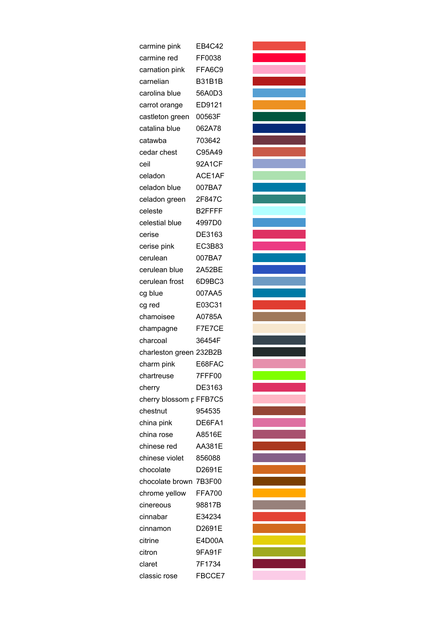| carmine pink            | EB4C42        |
|-------------------------|---------------|
| carmine red             | FF0038        |
| carnation pink          | FFA6C9        |
| carnelian               | <b>B31B1B</b> |
| carolina blue           | 56A0D3        |
| carrot orange           | ED9121        |
| castleton green         | 00563F        |
| catalina blue           | 062A78        |
| catawba                 | 703642        |
| cedar chest             | C95A49        |
| ceil                    | 92A1CF        |
| celadon                 | ACE1AF        |
| celadon blue            | 007BA7        |
| celadon green           | 2F847C        |
| celeste                 | B2FFFF        |
| celestial blue          | 4997D0        |
| cerise                  | DE3163        |
| cerise pink             | EC3B83        |
| cerulean                | 007BA7        |
| cerulean blue           | 2A52BE        |
| cerulean frost          | 6D9BC3        |
| cg blue                 | 007AA5        |
| cg red                  | E03C31        |
| chamoisee               | A0785A        |
| champagne               | F7E7CE        |
| charcoal                | 36454F        |
| charleston green 232B2B |               |
| charm pink              | E68FAC        |
| chartreuse              | 7FFF00        |
| cherry                  | DE3163        |
| cherry blossom p FFB7C5 |               |
| chestnut                | 954535        |
| china pink              | DE6FA1        |
| china rose              | A8516E        |
| chinese red             | <b>AA381E</b> |
| chinese violet          | 856088        |
| chocolate               | D2691E        |
| chocolate brown 7B3F00  |               |
| chrome yellow           | <b>FFA700</b> |
| cinereous               | 98817B        |
| cinnabar                | E34234        |
| cinnamon                | D2691E        |
| citrine                 | E4D00A        |
| citron                  | 9FA91F        |
| claret                  | 7F1734        |
| classic rose            | FBCCE7        |
|                         |               |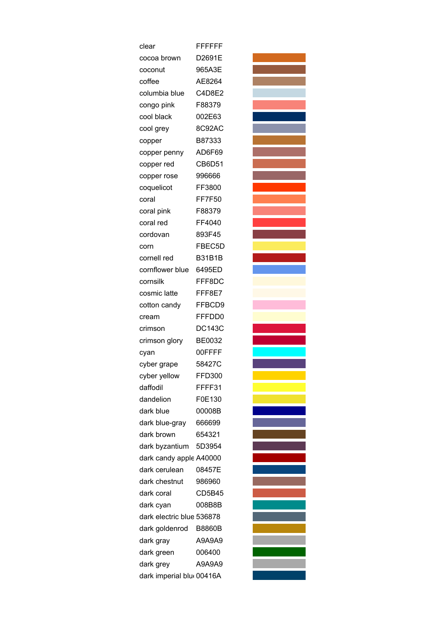| clear                     | <b>FFFFFFF</b> |
|---------------------------|----------------|
| cocoa brown               | D2691E         |
| coconut                   | 965A3E         |
| coffee                    | AE8264         |
| columbia blue             | C4D8E2         |
| congo pink                | F88379         |
| cool black                | 002E63         |
| cool grey                 | 8C92AC         |
| copper                    | B87333         |
| copper penny              | AD6F69         |
| copper red                | CB6D51         |
| copper rose               | 996666         |
| coquelicot                | FF3800         |
| coral                     | <b>FF7F50</b>  |
| coral pink                | F88379         |
| coral red                 | FF4040         |
| cordovan                  | 893F45         |
| corn                      | FBEC5D         |
| cornell red               | <b>B31B1B</b>  |
| cornflower blue           | 6495ED         |
| cornsilk                  | FFF8DC         |
| cosmic latte              | FFF8E7         |
| cotton candy              | FFBCD9         |
| cream                     | FFFDD0         |
| crimson                   | <b>DC143C</b>  |
| crimson glory             | BE0032         |
| cyan                      | 00FFFF         |
| cyber grape               | 58427C         |
| cyber yellow              | <b>FFD300</b>  |
| daffodil                  | FFFF31         |
| dandelion                 | F0E130         |
| dark blue                 | 00008B         |
| dark blue-gray            | 666699         |
| dark brown                | 654321         |
| dark byzantium 5D3954     |                |
| dark candy apple A40000   |                |
| dark cerulean             | 08457E         |
| dark chestnut             | 986960         |
| dark coral                | CD5B45         |
| dark cyan                 | 008B8B         |
| dark electric blue 536878 |                |
| dark goldenrod            | <b>B8860B</b>  |
| dark gray                 | A9A9A9         |
| dark green                | 006400         |
| dark grey                 | A9A9A9         |
| dark imperial blu 00416A  |                |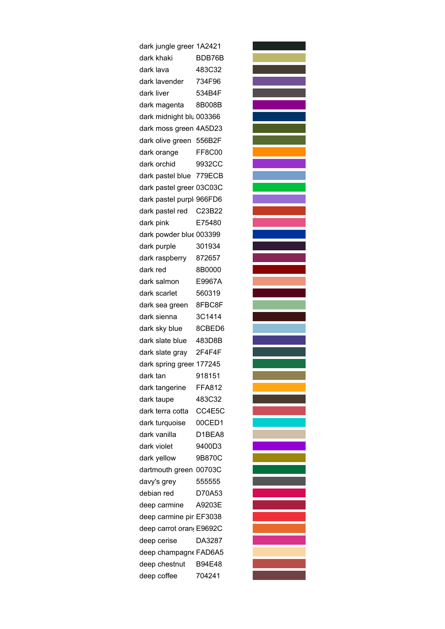dark jungle greer 1A2421 dark khaki BDB76B dark lava 483C32 dark lavender 734F96 dark liver 534B4F dark magenta 8B008B dark midnight blu 003366 dark moss green 4A5D23 dark olive green 556B2F dark orange FF8C00 dark orchid 9932CC dark pastel blue 779ECB dark pastel greer 03C03C dark pastel purple966FD6 dark pastel red C23B22 dark pink E75480 dark powder blue 003399 dark purple 301934 dark raspberry 872657 dark red 8B0000 dark salmon E9967A dark scarlet 560319 dark sea green 8FBC8F dark sienna 3C1414 dark sky blue 8CBED6 dark slate blue 483D8B dark slate gray 2F4F4F dark spring greer 177245 dark tan 918151 dark tangerine FFA812 dark taupe 483C32 dark terra cotta CC4E5C dark turquoise 00CED1 dark vanilla D1BEA8 dark violet 9400D3 dark yellow 9B870C dartmouth green 00703C davy's grey 555555 debian red D70A53 deep carmine A9203E deep carmine pir EF3038 deep carrot orang E9692C deep cerise DA3287 deep champagne FAD6A5 deep chestnut B94E48 deep coffee 704241

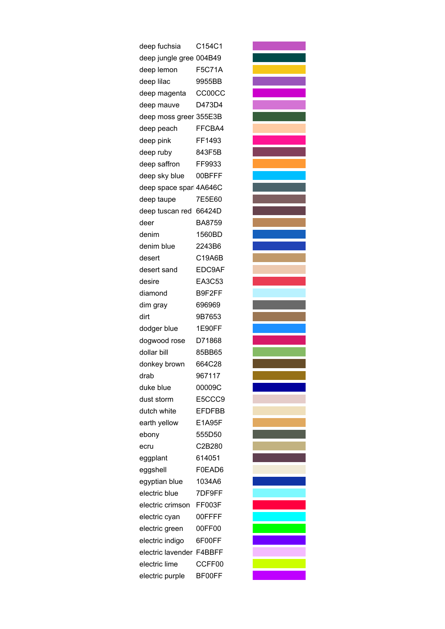| deep fuchsia            | C154C1        |
|-------------------------|---------------|
| deep jungle gree 004B49 |               |
| deep lemon              | <b>F5C71A</b> |
| deep lilac              | 9955BB        |
| deep magenta            | <b>CC00CC</b> |
| deep mauve              | D473D4        |
| deep moss greer 355E3B  |               |
| deep peach              | FFCBA4        |
| deep pink               | FF1493        |
| deep ruby               | 843F5B        |
| deep saffron            | FF9933        |
| deep sky blue           | 00BFFF        |
| deep space sparl 4A646C |               |
| deep taupe              | 7E5E60        |
| deep tuscan red         | 66424D        |
| deer                    | BA8759        |
| denim                   | 1560BD        |
| denim blue              | 2243B6        |
| desert                  | C19A6B        |
| desert sand             | EDC9AF        |
| desire                  | EA3C53        |
| diamond                 | B9F2FF        |
| dim gray                | 696969        |
| dirt                    | 9B7653        |
| dodger blue             | 1E90FF        |
| dogwood rose            | D71868        |
| dollar bill             | 85BB65        |
| donkey brown            | 664C28        |
| drab                    | 967117        |
| duke blue               | 00009C        |
| dust storm              | E5CCC9        |
| dutch white             | <b>EFDFBB</b> |
| earth yellow            | E1A95F        |
| ebony                   | 555D50        |
|                         | C2B280        |
| ecru                    | 614051        |
| eggplant<br>eggshell    | F0EAD6        |
|                         | 1034A6        |
| egyptian blue           |               |
| electric blue           | 7DF9FF        |
| electric crimson        | FF003F        |
| electric cyan           | 00FFFF        |
| electric green          | 00FF00        |
| electric indigo         | 6F00FF        |
| electric lavender       | F4BBFF        |
| electric lime           | CCFF00        |
| electric purple         | BF00FF        |

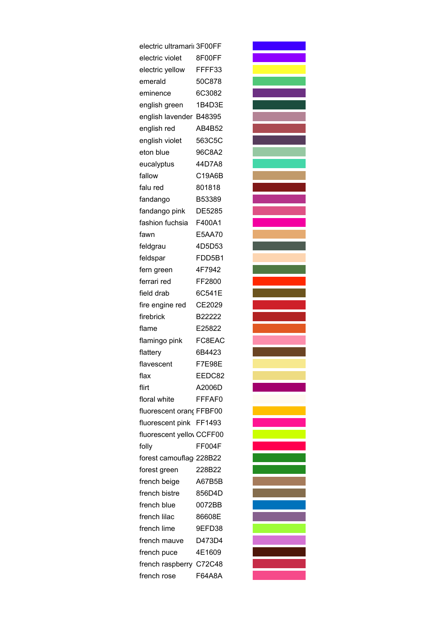| electric ultramarii 3F00FF |               |
|----------------------------|---------------|
| electric violet            | 8F00FF        |
| electric yellow            | FFFF33        |
| emerald                    | 50C878        |
| eminence                   | 6C3082        |
| english green              | 1B4D3E        |
| english lavender           | B48395        |
| english red                | AB4B52        |
| english violet             | 563C5C        |
| eton blue                  | 96C8A2        |
| eucalyptus                 | 44D7A8        |
| fallow                     | C19A6B        |
| falu red                   | 801818        |
| fandango                   | B53389        |
| fandango pink              | DE5285        |
| fashion fuchsia            | F400A1        |
| fawn                       | E5AA70        |
| feldgrau                   | 4D5D53        |
| feldspar                   | FDD5B1        |
| fern green                 | 4F7942        |
| ferrari red                | FF2800        |
| field drab                 | 6C541E        |
| fire engine red            | CE2029        |
| firebrick                  | B22222        |
| flame                      | E25822        |
| flamingo pink              | FC8EAC        |
| flattery                   | 6B4423        |
| flavescent                 | <b>F7E98E</b> |
| flax                       | EEDC82        |
| flirt                      | A2006D        |
| floral white               | FFFAF0        |
| fluorescent oranç FFBF00   |               |
| fluorescent pink FF1493    |               |
| fluorescent yellov CCFF00  |               |
| folly                      | FF004F        |
| forest camouflag 228B22    |               |
| forest green               | 228B22        |
| french beige               | A67B5B        |
| french bistre              | 856D4D        |
| french blue                | 0072BB        |
| french lilac               | 86608E        |
| french lime                | 9EFD38        |
| french mauve               | D473D4        |
| french puce                | 4E1609        |
| french raspberry C72C48    |               |
| french rose                | F64A8A        |
|                            |               |

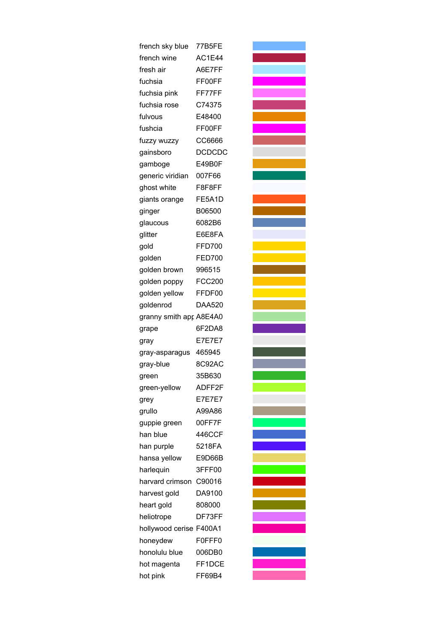| french sky blue         | 77B5FE        |
|-------------------------|---------------|
| french wine             | AC1E44        |
| fresh air               | A6E7FF        |
| fuchsia                 | FF00FF        |
| fuchsia pink            | FF77FF        |
| fuchsia rose            | C74375        |
| fulvous                 | E48400        |
| fushcia                 | FF00FF        |
| fuzzy wuzzy             | CC6666        |
| gainsboro               | <b>DCDCDC</b> |
| gamboge                 | E49B0F        |
| generic viridian        | 007F66        |
| ghost white             | F8F8FF        |
| giants orange           | FE5A1D        |
| ginger                  | B06500        |
| glaucous                | 6082B6        |
| glitter                 | E6E8FA        |
| gold                    | FFD700        |
| golden                  | <b>FED700</b> |
| golden brown            | 996515        |
| golden poppy            | <b>FCC200</b> |
| golden yellow           | FFDF00        |
| goldenrod               | DAA520        |
| granny smith apr A8E4A0 |               |
| grape                   | 6F2DA8        |
| gray                    | <b>E7E7E7</b> |
| gray-asparagus          | 465945        |
| gray-blue               | 8C92AC        |
| green                   | 35B630        |
| green-yellow            | ADFF2F        |
| grey                    | <b>E7E7E7</b> |
| grullo                  | A99A86        |
| guppie green            | 00FF7F        |
| han blue                | 446CCF        |
| han purple              | 5218FA        |
| hansa yellow            | E9D66B        |
| harlequin               | 3FFF00        |
| harvard crimson         | C90016        |
| harvest gold            | DA9100        |
| heart gold              | 808000        |
| heliotrope              | DF73FF        |
| hollywood cerise F400A1 |               |
| honeydew                | F0FFF0        |
| honolulu blue           | 006DB0        |
| hot magenta             | FF1DCE        |
| hot pink                | FF69B4        |

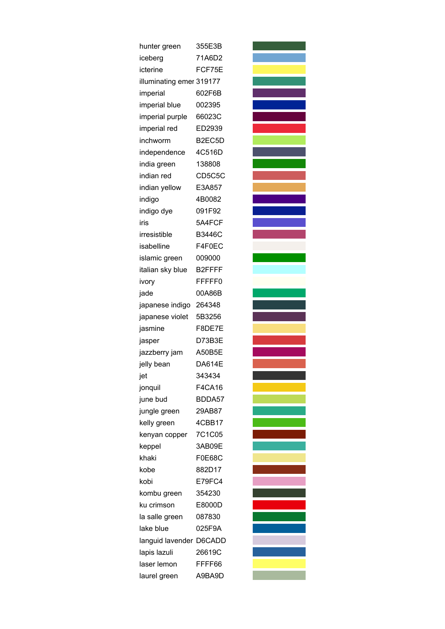| hunter green             | 355E3B        |
|--------------------------|---------------|
| iceberg                  | 71A6D2        |
| icterine                 | FCF75E        |
| illuminating emer 319177 |               |
| imperial                 | 602F6B        |
| imperial blue            | 002395        |
| imperial purple          | 66023C        |
| imperial red             | ED2939        |
| inchworm                 | B2EC5D        |
| independence             | 4C516D        |
| india green              | 138808        |
| indian red               | CD5C5C        |
| indian yellow            | E3A857        |
| indigo                   | 4B0082        |
| indigo dye               | 091F92        |
| iris                     | 5A4FCF        |
| irresistible             | <b>B3446C</b> |
| isabelline               | F4F0EC        |
| islamic green            | 009000        |
| italian sky blue         | B2FFFF        |
| ivory                    | FFFFF0        |
| jade                     | 00A86B        |
| japanese indigo          | 264348        |
| japanese violet          | 5B3256        |
| jasmine                  | F8DE7E        |
| jasper                   | D73B3E        |
| jazzberry jam            | A50B5E        |
| jelly bean               | <b>DA614E</b> |
| jet                      | 343434        |
| jonquil                  | <b>F4CA16</b> |
| june bud                 | BDDA57        |
| jungle green             | 29AB87        |
| kelly green              | 4CBB17        |
| kenyan copper            | 7C1C05        |
| keppel                   | 3AB09E        |
| khaki                    | <b>F0E68C</b> |
| kobe                     | 882D17        |
| kobi                     | E79FC4        |
| kombu green              | 354230        |
| ku crimson               | E8000D        |
| la salle green           | 087830        |
| lake blue                | 025F9A        |
| languid lavender D6CADD  |               |
| lapis lazuli             | 26619C        |
| laser lemon              | FFFF66        |
| laurel green             | A9BA9D        |

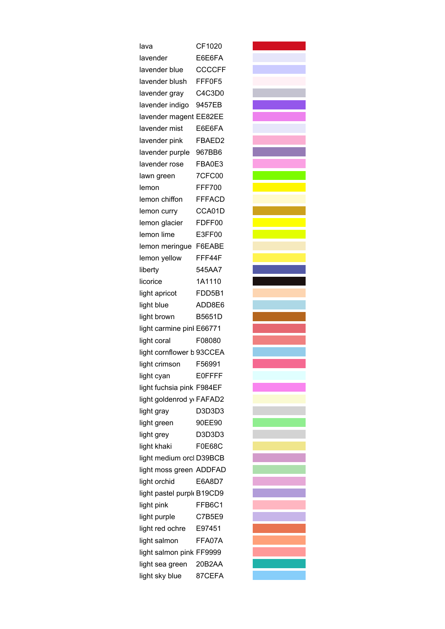| lava                                     | CF1020        |
|------------------------------------------|---------------|
| lavender                                 | E6E6FA        |
| lavender blue                            | <b>CCCCFF</b> |
| lavender blush                           | FFF0F5        |
| lavender gray                            | C4C3D0        |
| lavender indigo                          | 9457EB        |
| lavender magent                          | EE82EE        |
| lavender mist                            | E6E6FA        |
| lavender pink                            | FBAED2        |
| lavender purple                          | 967BB6        |
| lavender rose                            | FBA0E3        |
| lawn green                               | <b>7CFC00</b> |
| lemon                                    | FFF700        |
| lemon chiffon                            | <b>FFFACD</b> |
| lemon curry                              | CCA01D        |
| lemon glacier                            | FDFF00        |
| lemon lime                               | E3FF00        |
| lemon meringue                           | F6EABE        |
| lemon yellow                             | FFF44F        |
| liberty                                  | 545AA7        |
| licorice                                 | 1A1110        |
| light apricot                            | FDD5B1        |
| light blue                               | ADD8E6        |
| light brown                              | <b>B5651D</b> |
| light carmine pinl E66771                |               |
| light coral                              | F08080        |
| light cornflower b 93CCEA                |               |
| light crimson                            | F56991        |
| light cyan                               | F0FFFF        |
| light fuchsia pink F984EF                |               |
| light goldenrod y FAFAD2                 |               |
| light gray                               | D3D3D3        |
| light green                              | 90EE90        |
| light grey                               | D3D3D3        |
| light khaki                              | <b>F0E68C</b> |
| light medium orcl D39BCB                 |               |
| light moss green ADDFAD                  |               |
| light orchid                             | E6A8D7        |
| light pastel purple B19CD9               |               |
| light pink                               | FFB6C1        |
| light purple                             | C7B5E9        |
| light red ochre                          | E97451        |
|                                          | FFA07A        |
|                                          |               |
| light sea green                          | 20B2AA        |
| light sky blue                           | 87CEFA        |
| light salmon<br>light salmon pink FF9999 |               |
|                                          |               |
|                                          |               |

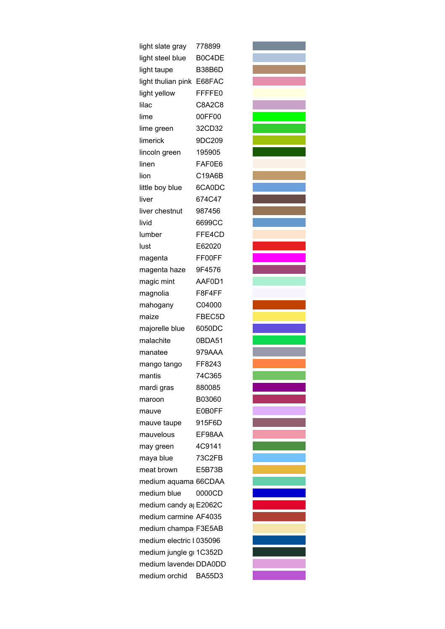| light slate gray                   | 778899        |
|------------------------------------|---------------|
| light steel blue                   | B0C4DE        |
| light taupe                        | <b>B38B6D</b> |
| light thulian pink                 | E68FAC        |
| light yellow                       | FFFFE0        |
| lilac                              | <b>C8A2C8</b> |
| lime                               | 00FF00        |
| lime green                         | 32CD32        |
| limerick                           | 9DC209        |
| lincoln green                      | 195905        |
| linen                              | FAF0E6        |
| lion                               | C19A6B        |
| little boy blue                    | 6CA0DC        |
| liver                              | 674C47        |
| liver chestnut                     | 987456        |
| livid                              | 6699CC        |
| lumber                             | FFE4CD        |
| lust                               | E62020        |
| magenta                            | FF00FF        |
| magenta haze                       | 9F4576        |
| magic mint                         | AAF0D1        |
| magnolia                           | F8F4FF        |
| mahogany                           | C04000        |
| maize                              | FBEC5D        |
| majorelle blue                     | 6050DC        |
| malachite                          | 0BDA51        |
| manatee                            | 979AAA        |
| mango tango                        | FF8243        |
| mantis                             | 74C365        |
| mardi gras                         | 880085        |
| maroon                             | B03060        |
| mauve                              | E0B0FF        |
| mauve taupe                        | 915F6D        |
| mauvelous                          | EF98AA        |
| may green                          | 4C9141        |
| maya blue                          | 73C2FB        |
| meat brown                         | E5B73B        |
| medium aquama 66CDAA               |               |
| medium blue                        | 0000CD        |
| medium candy a <sub>l</sub> E2062C |               |
| medium carmine AF4035              |               |
| medium champa F3E5AB               |               |
| medium electric I 035096           |               |
| medium jungle gi 1C352D            |               |
| medium lavendei DDA0DD             |               |
| medium orchid                      | <b>BA55D3</b> |
|                                    |               |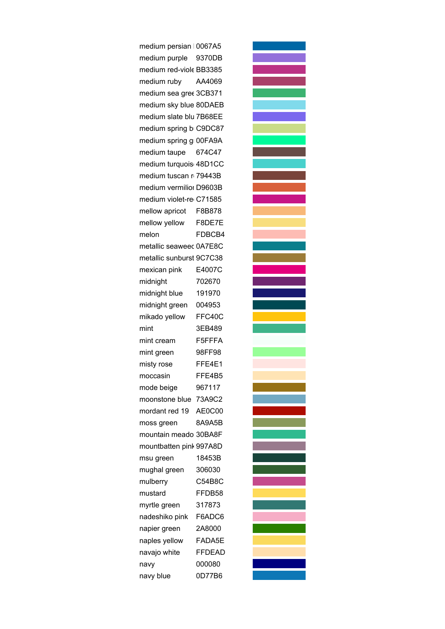medium persian  $0067A5$ medium purple 9370DB medium red-viole BB3385 medium ruby AA4069 medium sea gree 3CB371 medium sky blue 80DAEB medium slate blu 7B68EE medium spring b C9DC87 medium spring groof A9A medium taupe 674C47 medium turquois 48D1CC medium tuscan r 79443B medium vermilior D9603B medium violet-re C71585 mellow apricot F8B878 mellow yellow F8DE7E melon FDBCB4 metallic seaweec 0A7E8C metallic sunburst 9C7C38 mexican pink E4007C midnight 702670 midnight blue 191970 midnight green 004953 mikado yellow FFC40C mint 3EB489 mint cream F5FFFA mint green 98FF98 misty rose FFE4E1 moccasin FFE4B5 mode beige 967117 moonstone blue 73A9C2 mordant red 19 AE0C00 moss green 8A9A5B mountain meado 30BA8F mountbatten pink997A8D msu green 18453B mughal green 306030 mulberry C54B8C mustard FFDB58 myrtle green 317873 nadeshiko pink F6ADC6 napier green 2A8000 naples yellow FADA5E navajo white FFDEAD navy 000080 navy blue 0D77B6

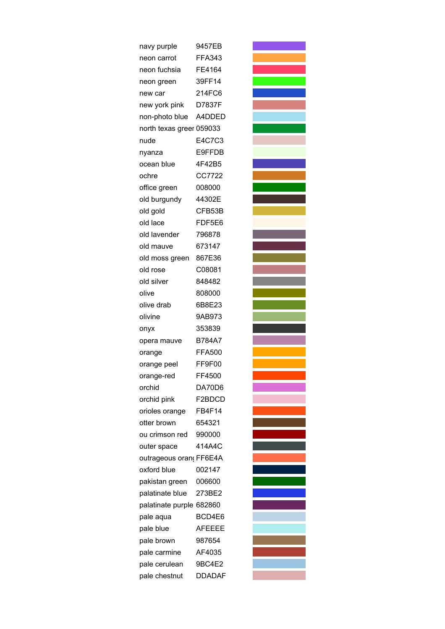| navy purple              | 9457EB        |
|--------------------------|---------------|
| neon carrot              | <b>FFA343</b> |
| neon fuchsia             | FE4164        |
| neon green               | 39FF14        |
| new car                  | 214FC6        |
| new york pink            | D7837F        |
| non-photo blue           | A4DDED        |
| north texas greer 059033 |               |
| nude                     | E4C7C3        |
| nyanza                   | E9FFDB        |
| ocean blue               | 4F42B5        |
| ochre                    | CC7722        |
| office green             | 008000        |
| old burgundy             | 44302E        |
| old gold                 | CFB53B        |
| old lace                 | FDF5E6        |
| old lavender             | 796878        |
| old mauve                | 673147        |
| old moss green           | 867E36        |
| old rose                 | C08081        |
| old silver               | 848482        |
| olive                    | 808000        |
| olive drab               | 6B8E23        |
| olivine                  | 9AB973        |
| onyx                     | 353839        |
| opera mauve              | <b>B784A7</b> |
| orange                   | <b>FFA500</b> |
| orange peel              | FF9F00        |
| orange-red               | FF4500        |
| orchid                   | DA70D6        |
| orchid pink              | F2BDCD        |
| orioles orange           | FB4F14        |
| otter brown              | 654321        |
| ou crimson red           | 990000        |
| outer space              | 414A4C        |
| outrageous oran FF6E4A   |               |
| oxford blue              | 002147        |
| pakistan green           | 006600        |
| palatinate blue          | 273BE2        |
| palatinate purple 682860 |               |
| pale aqua                | BCD4E6        |
| pale blue                | <b>AFEEEE</b> |
| pale brown               | 987654        |
| pale carmine             | AF4035        |
| pale cerulean            | 9BC4E2        |
| pale chestnut            | <b>DDADAF</b> |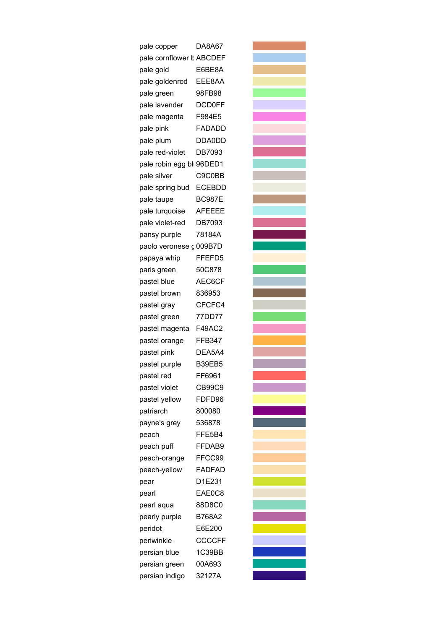| pale copper               | DA8A67        |
|---------------------------|---------------|
| pale cornflower b ABCDEF  |               |
| pale gold                 | E6BE8A        |
| pale goldenrod            | EEE8AA        |
| pale green                | 98FB98        |
| pale lavender             | <b>DCD0FF</b> |
| pale magenta              | F984E5        |
| pale pink                 | FADADD        |
| pale plum                 | DDA0DD        |
| pale red-violet           | DB7093        |
| pale robin egg bli 96DED1 |               |
| pale silver               | C9C0BB        |
| pale spring bud           | <b>ECEBDD</b> |
| pale taupe                | <b>BC987E</b> |
| pale turquoise            | <b>AFEEEE</b> |
| pale violet-red           | DB7093        |
| pansy purple              | 78184A        |
| paolo veronese c 009B7D   |               |
| papaya whip               | FFEFD5        |
| paris green               | 50C878        |
| pastel blue               | AEC6CF        |
| pastel brown              | 836953        |
| pastel gray               | CFCFC4        |
| pastel green              | 77DD77        |
| pastel magenta            | F49AC2        |
| pastel orange             | <b>FFB347</b> |
| pastel pink               | DEA5A4        |
| pastel purple             | B39EB5        |
| pastel red                | FF6961        |
| pastel violet             | <b>CB99C9</b> |
| pastel yellow             | FDFD96        |
| patriarch                 | 800080        |
| payne's grey              | 536878        |
| peach                     | FFE5B4        |
| peach puff                | FFDAB9        |
| peach-orange              | FFCC99        |
| peach-yellow              | <b>FADFAD</b> |
| pear                      | D1E231        |
| pearl                     | EAE0C8        |
| pearl aqua                | 88D8C0        |
| pearly purple             | B768A2        |
| peridot                   | E6E200        |
| periwinkle                | <b>CCCCFF</b> |
| persian blue              | 1C39BB        |
| persian green             | 00A693        |
| persian indigo            | 32127A        |

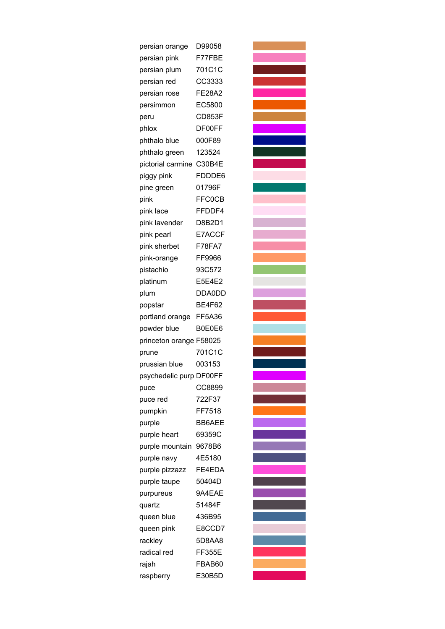| persian orange           | D99058        |
|--------------------------|---------------|
| persian pink             | F77FBE        |
| persian plum             | 701C1C        |
| persian red              | CC3333        |
| persian rose             | <b>FE28A2</b> |
| persimmon                | EC5800        |
| peru                     | <b>CD853F</b> |
| phlox                    | DF00FF        |
| phthalo blue             | 000F89        |
| phthalo green            | 123524        |
| pictorial carmine C30B4E |               |
| piggy pink               | FDDDE6        |
| pine green               | 01796F        |
| pink                     | <b>FFC0CB</b> |
| pink lace                | FFDDF4        |
| pink lavender            | D8B2D1        |
| pink pearl               | E7ACCF        |
| pink sherbet             | F78FA7        |
| pink-orange              | FF9966        |
| pistachio                | 93C572        |
| platinum                 | E5E4E2        |
| plum                     | DDA0DD        |
| popstar                  | <b>BE4F62</b> |
| portland orange          | FF5A36        |
| powder blue              | B0E0E6        |
| princeton orange F58025  |               |
| prune                    | 701C1C        |
| prussian blue            | 003153        |
| psychedelic purp DF00FF  |               |
| puce                     | CC8899        |
| puce red                 | 722F37        |
| pumpkin                  | FF7518        |
| purple                   | <b>BB6AEE</b> |
| purple heart             | 69359C        |
| purple mountain          | 9678B6        |
| purple navy              | 4E5180        |
| purple pizzazz           | FE4EDA        |
| purple taupe             | 50404D        |
| purpureus                | 9A4EAE        |
| quartz                   | 51484F        |
| queen blue               | 436B95        |
| queen pink               | E8CCD7        |
| rackley                  | 5D8AA8        |
| radical red              | <b>FF355E</b> |
| rajah                    | FBAB60        |
| raspberry                | E30B5D        |

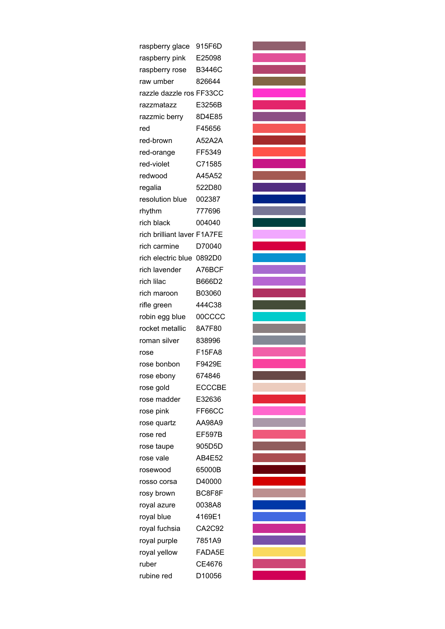| raspberry glace             | 915F6D        |
|-----------------------------|---------------|
| raspberry pink              | E25098        |
| raspberry rose              | <b>B3446C</b> |
| raw umber                   | 826644        |
| razzle dazzle ros FF33CC    |               |
| razzmatazz                  | E3256B        |
| razzmic berry               | 8D4E85        |
| red                         | F45656        |
| red-brown                   | <b>A52A2A</b> |
| red-orange                  | FF5349        |
| red-violet                  | C71585        |
| redwood                     | A45A52        |
| regalia                     | 522D80        |
| resolution blue             | 002387        |
| rhythm                      | 777696        |
| rich black                  | 004040        |
| rich brilliant laver F1A7FE |               |
| rich carmine                | D70040        |
| rich electric blue 0892D0   |               |
| rich lavender               | A76BCF        |
| rich lilac                  | B666D2        |
| rich maroon                 | B03060        |
| rifle green                 | 444C38        |
| robin egg blue              | 00CCCC        |
| rocket metallic             | 8A7F80        |
| roman silver                | 838996        |
| rose                        | F15FA8        |
| rose bonbon                 | F9429E        |
| rose ebony                  | 674846        |
| rose gold                   | <b>ECCCBE</b> |
| rose madder                 | E32636        |
| rose pink                   | FF66CC        |
| rose quartz                 | AA98A9        |
| rose red                    | <b>EF597B</b> |
| rose taupe                  | 905D5D        |
| rose vale                   | AB4E52        |
| rosewood                    | 65000B        |
| rosso corsa                 | D40000        |
| rosy brown                  | BC8F8F        |
| royal azure                 | 0038A8        |
| royal blue                  | 4169E1        |
| royal fuchsia               | CA2C92        |
| royal purple                | 7851A9        |
| royal yellow                | FADA5E        |
| ruber                       | CE4676        |
| rubine red                  | D10056        |
|                             |               |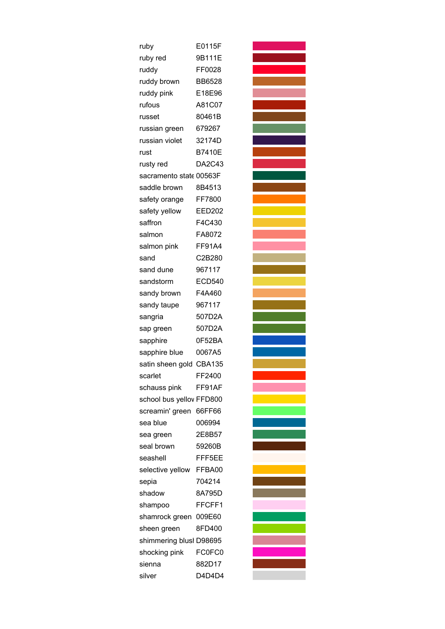| ruby                     | E0115F        |
|--------------------------|---------------|
| ruby red                 | 9B111E        |
| ruddy                    | FF0028        |
| ruddy brown              | <b>BB6528</b> |
| ruddy pink               | E18E96        |
| rufous                   | A81C07        |
| russet                   | 80461B        |
| russian green            | 679267        |
| russian violet           | 32174D        |
| rust                     | B7410E        |
| rusty red                | DA2C43        |
| sacramento state 00563F  |               |
| saddle brown             | 8B4513        |
| safety orange            | FF7800        |
| safety yellow            | <b>EED202</b> |
| saffron                  | F4C430        |
| salmon                   | FA8072        |
| salmon pink              | <b>FF91A4</b> |
| sand                     | C2B280        |
| sand dune                | 967117        |
| sandstorm                | <b>ECD540</b> |
| sandy brown              | F4A460        |
| sandy taupe              | 967117        |
| sangria                  | 507D2A        |
| sap green                | 507D2A        |
| sapphire                 | 0F52BA        |
| sapphire blue            | 0067A5        |
| satin sheen gold CBA135  |               |
| scarlet                  | FF2400        |
| schauss pink             | FF91AF        |
| school bus yellov FFD800 |               |
| screamin' green          | 66FF66        |
| sea blue                 | 006994        |
| sea green                | 2E8B57        |
| seal brown               | 59260B        |
| seashell                 | FFF5EE        |
| selective yellow         | FFBA00        |
| sepia                    | 704214        |
| shadow                   | 8A795D        |
| shampoo                  | FFCFF1        |
| shamrock green           | 009E60        |
| sheen green              | 8FD400        |
| shimmering blusl D98695  |               |
| shocking pink            | FC0FC0        |
| sienna                   | 882D17        |
| silver                   | D4D4D4        |

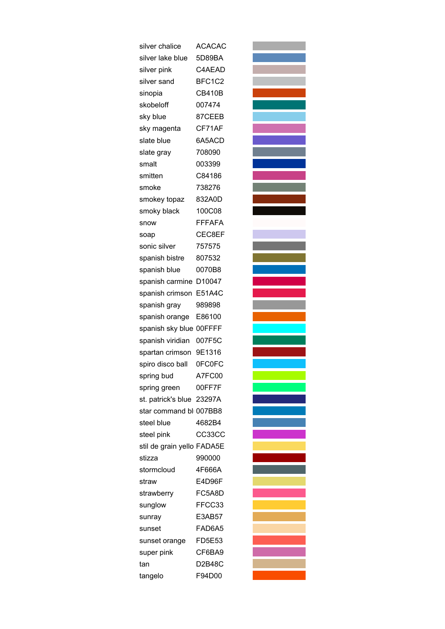| silver chalice             | <b>ACACAC</b> |
|----------------------------|---------------|
| silver lake blue           | 5D89BA        |
| silver pink                | C4AEAD        |
| silver sand                | BFC1C2        |
| sinopia                    | CB410B        |
| skobeloff                  | 007474        |
| sky blue                   | 87CEEB        |
| sky magenta                | CF71AF        |
| slate blue                 | 6A5ACD        |
| slate gray                 | 708090        |
| smalt                      | 003399        |
| smitten                    | C84186        |
| smoke                      | 738276        |
| smokey topaz               | 832A0D        |
| smoky black                | 100C08        |
| snow                       | <b>FFFAFA</b> |
| soap                       | CEC8EF        |
| sonic silver               | 757575        |
| spanish bistre             | 807532        |
| spanish blue               | 0070B8        |
| spanish carmine            | D10047        |
| spanish crimson            | E51A4C        |
| spanish gray               | 989898        |
| spanish orange             | E86100        |
| spanish sky blue 00FFFF    |               |
| spanish viridian           | 007F5C        |
| spartan crimson            | 9E1316        |
| spiro disco ball           | 0FC0FC        |
| spring bud                 | A7FC00        |
| spring green               | 00FF7F        |
| st. patrick's blue 23297A  |               |
| star command bli 007BB8    |               |
| steel blue                 | 4682B4        |
| steel pink                 | CC33CC        |
| stil de grain yello FADA5E |               |
| stizza                     | 990000        |
| stormcloud                 | 4F666A        |
| straw                      | E4D96F        |
| strawberry                 | FC5A8D        |
| sunglow                    | FFCC33        |
| sunray                     | E3AB57        |
| sunset                     | FAD6A5        |
| sunset orange              | <b>FD5E53</b> |
| super pink                 | CF6BA9        |
| tan                        | D2B48C        |
| tangelo                    | F94D00        |
|                            |               |

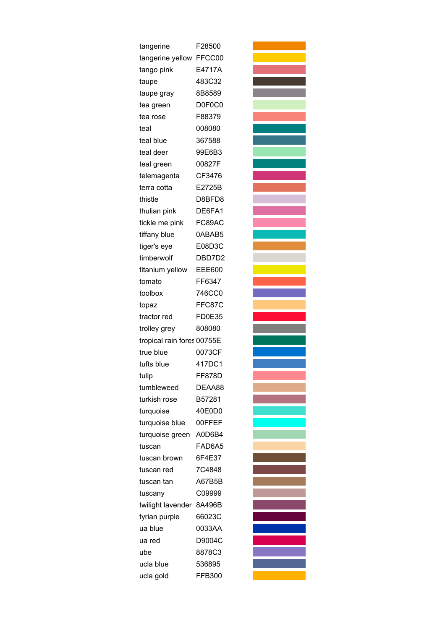| tangerine                  | F28500        |
|----------------------------|---------------|
| tangerine yellow FFCC00    |               |
| tango pink                 | E4717A        |
| taupe                      | 483C32        |
| taupe gray                 | 8B8589        |
| tea green                  | D0F0C0        |
| tea rose                   | F88379        |
| teal                       | 008080        |
| teal blue                  | 367588        |
| teal deer                  | 99E6B3        |
| teal green                 | 00827F        |
| telemagenta                | CF3476        |
| terra cotta                | E2725B        |
| thistle                    | D8BFD8        |
| thulian pink               | DE6FA1        |
| tickle me pink             | FC89AC        |
| tiffany blue               | 0ABAB5        |
| tiger's eye                | E08D3C        |
| timberwolf                 | DBD7D2        |
| titanium yellow            | <b>EEE600</b> |
| tomato                     | FF6347        |
| toolbox                    | 746CC0        |
| topaz                      | FFC87C        |
| tractor red                | <b>FD0E35</b> |
| trolley grey               | 808080        |
| tropical rain fores 00755E |               |
| true blue                  | 0073CF        |
| tufts blue                 | 417DC1        |
| tulip                      | <b>FF878D</b> |
| tumbleweed                 | DEAA88        |
| turkish rose               | B57281        |
| turquoise                  | 40E0D0        |
| turquoise blue             | 00FFEF        |
| turquoise green            | A0D6B4        |
| tuscan                     | FAD6A5        |
| tuscan brown               | 6F4E37        |
| tuscan red                 | 7C4848        |
| tuscan tan                 | A67B5B        |
| tuscany                    | C09999        |
| twilight lavender          | 8A496B        |
| tyrian purple              | 66023C        |
| ua blue                    | 0033AA        |
| ua red                     | D9004C        |
| ube                        | 8878C3        |
| ucla blue                  | 536895        |
| ucla gold                  | FFB300        |

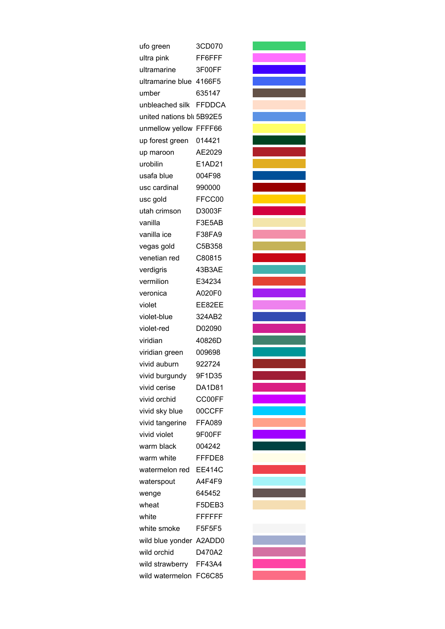| ufo green                 | 3CD070         |
|---------------------------|----------------|
| ultra pink                | FF6FFF         |
| ultramarine               | 3F00FF         |
| ultramarine blue 4166F5   |                |
| umber                     | 635147         |
| unbleached silk FFDDCA    |                |
| united nations bli 5B92E5 |                |
| unmellow yellow FFFF66    |                |
| up forest green           | 014421         |
| up maroon                 | AE2029         |
| urobilin                  | E1AD21         |
| usafa blue                | 004F98         |
| usc cardinal              | 990000         |
| usc gold                  | FFCC00         |
| utah crimson              | D3003F         |
| vanilla                   | F3E5AB         |
| vanilla ice               | F38FA9         |
| vegas gold                | C5B358         |
| venetian red              | C80815         |
| verdigris                 | 43B3AE         |
| vermilion                 | E34234         |
| veronica                  | A020F0         |
| violet                    | EE82EE         |
| violet-blue               | 324AB2         |
| violet-red                | D02090         |
| viridian                  | 40826D         |
| viridian green            | 009698         |
| vivid auburn              | 922724         |
| vivid burgundy            | 9F1D35         |
| vivid cerise              | <b>DA1D81</b>  |
| vivid orchid              | CC00FF         |
| vivid sky blue            | 00CCFF         |
| vivid tangerine           | <b>FFA089</b>  |
| vivid violet              | 9F00FF         |
| warm black                | 004242         |
| warm white                | FFFDE8         |
| watermelon red            | <b>EE414C</b>  |
| waterspout                | A4F4F9         |
| wenge                     | 645452         |
| wheat                     | F5DEB3         |
| white                     | <b>FFFFFFF</b> |
| white smoke               | F5F5F5         |
| wild blue yonder A2ADD0   |                |
| wild orchid               | D470A2         |
| wild strawberry           | FF43A4         |
| wild watermelon           | FC6C85         |